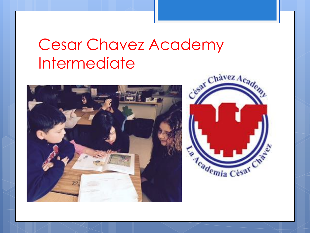#### Cesar Chavez Academy Intermediate



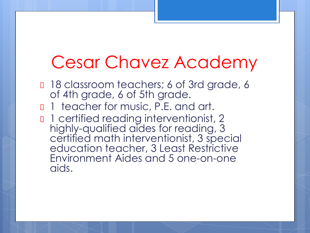# Cesar Chavez Academy

- <sup>18</sup> classroom teachers; 6 of 3rd grade, 6 of 4th grade, 6 of 5th grade.
- 1 teacher for music, P.E. and art.
- n 1 certified reading interventionist, 2 highly-qualified aides for reading, 3 certified math interventionist, 3 special education teacher, 3 Least Restrictive Environment Aides and 5 one-on-one aids.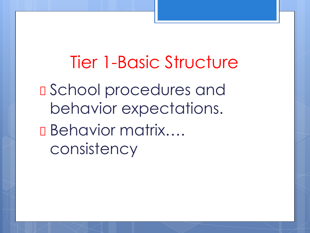Tier 1-Basic Structure School procedures and behavior expectations. Behavior matrix…. consistency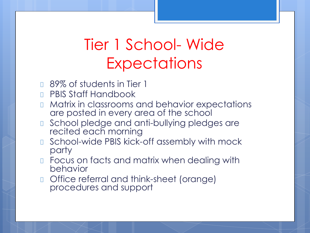## Tier 1 School- Wide **Expectations**

- **B9% of students in Tier 1**
- **D** PBIS Staff Handbook
- **If Matrix in classrooms and behavior expectations** are posted in every area of the school
- **I** School pledge and anti-bullying pledges are recited each morning
- School-wide PBIS kick-off assembly with mock party
- **Example 2 Focus on facts and matrix when dealing with** behavior
- Office referral and think-sheet (orange) procedures and support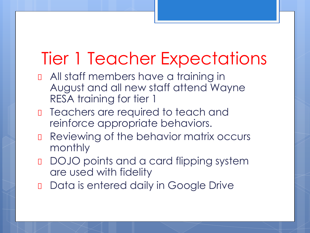# Tier 1 Teacher Expectations

- **D** All staff members have a training in August and all new staff attend Wayne RESA training for tier 1
- D Teachers are required to teach and reinforce appropriate behaviors.
- **Reviewing of the behavior matrix occurs** monthly
- DOJO points and a card flipping system are used with fidelity
- Data is entered daily in Google Drive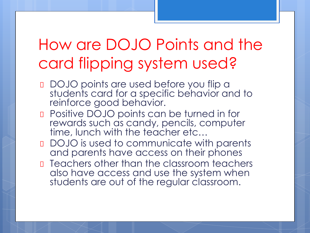## How are DOJO Points and the card flipping system used?

- DOJO points are used before you flip a students card for a specific behavior and to reinforce good behavior.
- **D** Positive DOJO points can be turned in for rewards such as candy, pencils, computer time, lunch with the teacher etc...
- DOJO is used to communicate with parents and parents have access on their phones
- **D** Teachers other than the classroom teachers also have access and use the system when students are out of the regular classroom.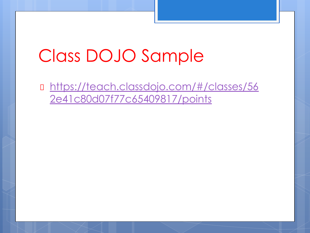# Class DOJO Sample

 [https://teach.classdojo.com/#/classes/56](https://teach.classdojo.com/#/classes/562e41c80d07f77c65409817/points) [2e41c80d07f77c65409817/points](https://teach.classdojo.com/#/classes/562e41c80d07f77c65409817/points)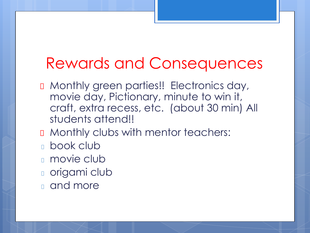#### Rewards and Consequences

- D Monthly green parties!! Electronics day, movie day, Pictionary, minute to win it, craft, extra recess, etc. (about 30 min) All students attend!!
- **D** Monthly clubs with mentor teachers:
- book club
- **n** movie club
- **n** origami club
- and more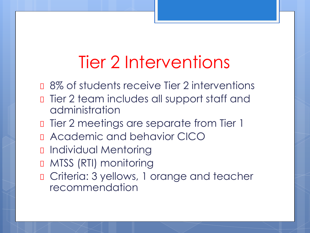# Tier 2 Interventions

- **0** 8% of students receive Tier 2 interventions
- **D** Tier 2 team includes all support staff and administration
- **D** Tier 2 meetings are separate from Tier 1
- Academic and behavior CICO
- Individual Mentoring
- **D MTSS (RTI) monitoring**
- **D** Criteria: 3 yellows, 1 orange and teacher recommendation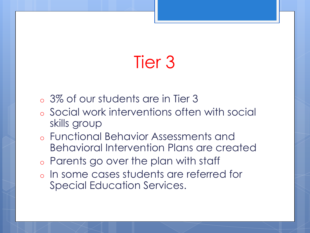# Tier 3

- o 3% of our students are in Tier 3
- o Social work interventions often with social skills group
- o Functional Behavior Assessments and Behavioral Intervention Plans are created
- o Parents go over the plan with staff
- o In some cases students are referred for Special Education Services.